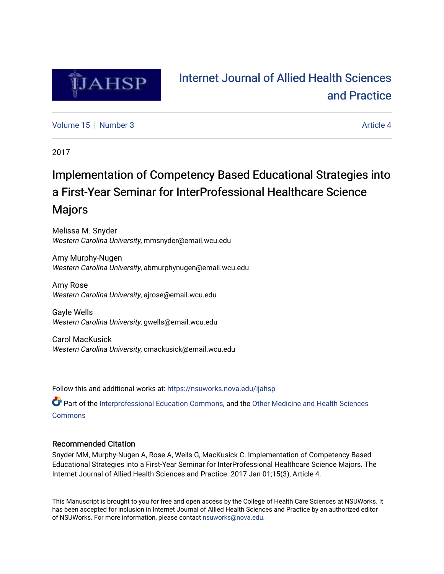

# [Internet Journal of Allied Health Sciences](https://nsuworks.nova.edu/ijahsp)  [and Practice](https://nsuworks.nova.edu/ijahsp)

[Volume 15](https://nsuworks.nova.edu/ijahsp/vol15) [Number 3](https://nsuworks.nova.edu/ijahsp/vol15/iss3) Article 4

2017

# Implementation of Competency Based Educational Strategies into a First-Year Seminar for InterProfessional Healthcare Science Majors

Melissa M. Snyder Western Carolina University, mmsnyder@email.wcu.edu

Amy Murphy-Nugen Western Carolina University, abmurphynugen@email.wcu.edu

Amy Rose Western Carolina University, ajrose@email.wcu.edu

Gayle Wells Western Carolina University, gwells@email.wcu.edu

Carol MacKusick Western Carolina University, cmackusick@email.wcu.edu

Follow this and additional works at: [https://nsuworks.nova.edu/ijahsp](https://nsuworks.nova.edu/ijahsp?utm_source=nsuworks.nova.edu%2Fijahsp%2Fvol15%2Fiss3%2F4&utm_medium=PDF&utm_campaign=PDFCoverPages) 

Part of the [Interprofessional Education Commons,](http://network.bepress.com/hgg/discipline/1372?utm_source=nsuworks.nova.edu%2Fijahsp%2Fvol15%2Fiss3%2F4&utm_medium=PDF&utm_campaign=PDFCoverPages) and the Other Medicine and Health Sciences **[Commons](http://network.bepress.com/hgg/discipline/772?utm_source=nsuworks.nova.edu%2Fijahsp%2Fvol15%2Fiss3%2F4&utm_medium=PDF&utm_campaign=PDFCoverPages)** 

### Recommended Citation

Snyder MM, Murphy-Nugen A, Rose A, Wells G, MacKusick C. Implementation of Competency Based Educational Strategies into a First-Year Seminar for InterProfessional Healthcare Science Majors. The Internet Journal of Allied Health Sciences and Practice. 2017 Jan 01;15(3), Article 4.

This Manuscript is brought to you for free and open access by the College of Health Care Sciences at NSUWorks. It has been accepted for inclusion in Internet Journal of Allied Health Sciences and Practice by an authorized editor of NSUWorks. For more information, please contact [nsuworks@nova.edu.](mailto:nsuworks@nova.edu)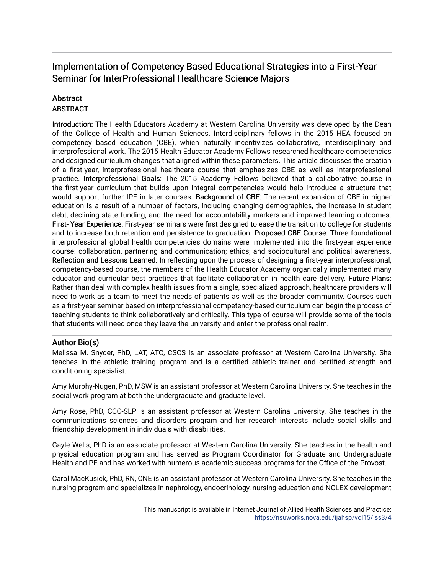## Implementation of Competency Based Educational Strategies into a First-Year Seminar for InterProfessional Healthcare Science Majors

## **Abstract**

### **ABSTRACT**

Introduction: The Health Educators Academy at Western Carolina University was developed by the Dean of the College of Health and Human Sciences. Interdisciplinary fellows in the 2015 HEA focused on competency based education (CBE), which naturally incentivizes collaborative, interdisciplinary and interprofessional work. The 2015 Health Educator Academy Fellows researched healthcare competencies and designed curriculum changes that aligned within these parameters. This article discusses the creation of a first-year, interprofessional healthcare course that emphasizes CBE as well as interprofessional practice. Interprofessional Goals: The 2015 Academy Fellows believed that a collaborative course in the first-year curriculum that builds upon integral competencies would help introduce a structure that would support further IPE in later courses. Background of CBE: The recent expansion of CBE in higher education is a result of a number of factors, including changing demographics, the increase in student debt, declining state funding, and the need for accountability markers and improved learning outcomes. First- Year Experience: First-year seminars were first designed to ease the transition to college for students and to increase both retention and persistence to graduation. Proposed CBE Course: Three foundational interprofessional global health competencies domains were implemented into the first-year experience course: collaboration, partnering and communication; ethics; and sociocultural and political awareness. Reflection and Lessons Learned: In reflecting upon the process of designing a first-year interprofessional, competency-based course, the members of the Health Educator Academy organically implemented many educator and curricular best practices that facilitate collaboration in health care delivery. Future Plans: Rather than deal with complex health issues from a single, specialized approach, healthcare providers will need to work as a team to meet the needs of patients as well as the broader community. Courses such as a first-year seminar based on interprofessional competency-based curriculum can begin the process of teaching students to think collaboratively and critically. This type of course will provide some of the tools that students will need once they leave the university and enter the professional realm.

## Author Bio(s)

Melissa M. Snyder, PhD, LAT, ATC, CSCS is an associate professor at Western Carolina University. She teaches in the athletic training program and is a certified athletic trainer and certified strength and conditioning specialist.

Amy Murphy-Nugen, PhD, MSW is an assistant professor at Western Carolina University. She teaches in the social work program at both the undergraduate and graduate level.

Amy Rose, PhD, CCC-SLP is an assistant professor at Western Carolina University. She teaches in the communications sciences and disorders program and her research interests include social skills and friendship development in individuals with disabilities.

Gayle Wells, PhD is an associate professor at Western Carolina University. She teaches in the health and physical education program and has served as Program Coordinator for Graduate and Undergraduate Health and PE and has worked with numerous academic success programs for the Office of the Provost.

Carol MacKusick, PhD, RN, CNE is an assistant professor at Western Carolina University. She teaches in the nursing program and specializes in nephrology, endocrinology, nursing education and NCLEX development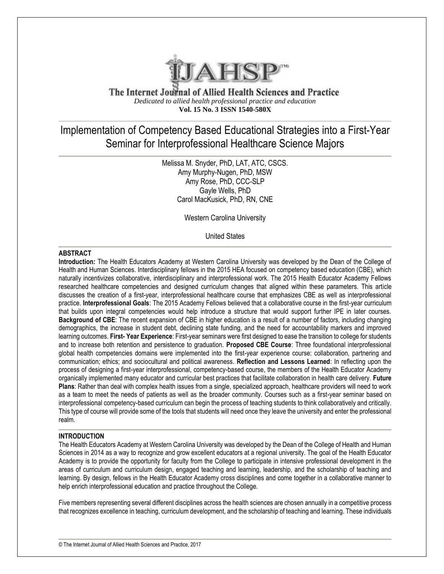

The Internet Journal of Allied Health Sciences and Practice *Dedicated to allied health professional practice and education* **Vol. 15 No. 3 ISSN 1540-580X**

# Implementation of Competency Based Educational Strategies into a First-Year Seminar for Interprofessional Healthcare Science Majors

Melissa M. Snyder, PhD, LAT, ATC, CSCS. Amy Murphy-Nugen, PhD, MSW Amy Rose, PhD, CCC-SLP Gayle Wells, PhD Carol MacKusick, PhD, RN, CNE

Western Carolina University

United States

#### **ABSTRACT**

**Introduction:** The Health Educators Academy at Western Carolina University was developed by the Dean of the College of Health and Human Sciences. Interdisciplinary fellows in the 2015 HEA focused on competency based education (CBE), which naturally incentivizes collaborative, interdisciplinary and interprofessional work. The 2015 Health Educator Academy Fellows researched healthcare competencies and designed curriculum changes that aligned within these parameters. This article discusses the creation of a first-year, interprofessional healthcare course that emphasizes CBE as well as interprofessional practice. **Interprofessional Goals**: The 2015 Academy Fellows believed that a collaborative course in the first-year curriculum that builds upon integral competencies would help introduce a structure that would support further IPE in later courses. **Background of CBE**: The recent expansion of CBE in higher education is a result of a number of factors, including changing demographics, the increase in student debt, declining state funding, and the need for accountability markers and improved learning outcomes. **First- Year Experience**: First-year seminars were first designed to ease the transition to college for students and to increase both retention and persistence to graduation. **Proposed CBE Course**: Three foundational interprofessional global health competencies domains were implemented into the first-year experience course: collaboration, partnering and communication; ethics; and sociocultural and political awareness. **Reflection and Lessons Learned**: In reflecting upon the process of designing a first-year interprofessional, competency-based course, the members of the Health Educator Academy organically implemented many educator and curricular best practices that facilitate collaboration in health care delivery. **Future Plans**: Rather than deal with complex health issues from a single, specialized approach, healthcare providers will need to work as a team to meet the needs of patients as well as the broader community. Courses such as a first-year seminar based on interprofessional competency-based curriculum can begin the process of teaching students to think collaboratively and critically. This type of course will provide some of the tools that students will need once they leave the university and enter the professional realm.

#### **INTRODUCTION**

The Health Educators Academy at Western Carolina University was developed by the Dean of the College of Health and Human Sciences in 2014 as a way to recognize and grow excellent educators at a regional university. The goal of the Health Educator Academy is to provide the opportunity for faculty from the College to participate in intensive professional development in the areas of curriculum and curriculum design, engaged teaching and learning, leadership, and the scholarship of teaching and learning. By design, fellows in the Health Educator Academy cross disciplines and come together in a collaborative manner to help enrich interprofessional education and practice throughout the College.

Five members representing several different disciplines across the health sciences are chosen annually in a competitive process that recognizes excellence in teaching, curriculum development, and the scholarship of teaching and learning. These individuals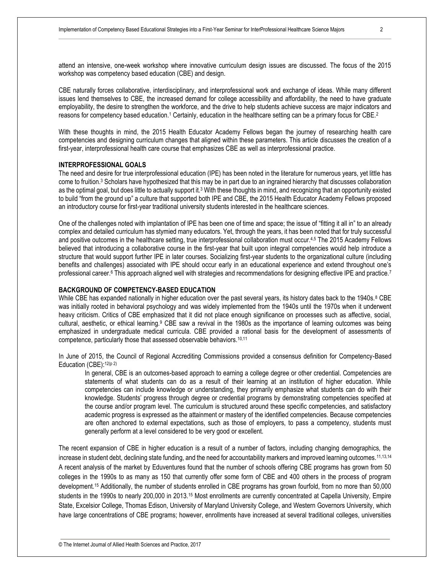CBE naturally forces collaborative, interdisciplinary, and interprofessional work and exchange of ideas. While many different issues lend themselves to CBE, the increased demand for college accessibility and affordability, the need to have graduate employability, the desire to strengthen the workforce, and the drive to help students achieve success are major indicators and reasons for competency based education.<sup>1</sup> Certainly, education in the healthcare setting can be a primary focus for CBE.<sup>2</sup>

With these thoughts in mind, the 2015 Health Educator Academy Fellows began the journey of researching health care competencies and designing curriculum changes that aligned within these parameters. This article discusses the creation of a first-year, interprofessional health care course that emphasizes CBE as well as interprofessional practice.

#### **INTERPROFESSIONAL GOALS**

The need and desire for true interprofessional education (IPE) has been noted in the literature for numerous years, yet little has come to fruition.<sup>3</sup> Scholars have hypothesized that this may be in part due to an ingrained hierarchy that discusses collaboration as the optimal goal, but does little to actually support it.<sup>3</sup> With these thoughts in mind, and recognizing that an opportunity existed to build "from the ground up" a culture that supported both IPE and CBE, the 2015 Health Educator Academy Fellows proposed an introductory course for first-year traditional university students interested in the healthcare sciences.

One of the challenges noted with implantation of IPE has been one of time and space; the issue of "fitting it all in" to an already complex and detailed curriculum has stymied many educators. Yet, through the years, it has been noted that for truly successful and positive outcomes in the healthcare setting, true interprofessional collaboration must occur.4,5 The 2015 Academy Fellows believed that introducing a collaborative course in the first-year that built upon integral competencies would help introduce a structure that would support further IPE in later courses. Socializing first-year students to the organizational culture (including benefits and challenges) associated with IPE should occur early in an educational experience and extend throughout one's professional career.<sup>6</sup> This approach aligned well with strategies and recommendations for designing effective IPE and practice.<sup>7</sup>

#### **BACKGROUND OF COMPETENCY-BASED EDUCATION**

While CBE has expanded nationally in higher education over the past several years, its history dates back to the 1940s.<sup>8</sup> CBE was initially rooted in behavioral psychology and was widely implemented from the 1940s until the 1970s when it underwent heavy criticism. Critics of CBE emphasized that it did not place enough significance on processes such as affective, social, cultural, aesthetic, or ethical learning.<sup>9</sup> CBE saw a revival in the 1980s as the importance of learning outcomes was being emphasized in undergraduate medical curricula. CBE provided a rational basis for the development of assessments of competence, particularly those that assessed observable behaviors.10,11

In June of 2015, the Council of Regional Accrediting Commissions provided a consensus definition for Competency-Based Education (CBE):12(p 2)

In general, CBE is an outcomes-based approach to earning a college degree or other credential. Competencies are statements of what students can do as a result of their learning at an institution of higher education. While competencies can include knowledge or understanding, they primarily emphasize what students can do with their knowledge. Students' progress through degree or credential programs by demonstrating competencies specified at the course and/or program level. The curriculum is structured around these specific competencies, and satisfactory academic progress is expressed as the attainment or mastery of the identified competencies. Because competencies are often anchored to external expectations, such as those of employers, to pass a competency, students must generally perform at a level considered to be very good or excellent.

The recent expansion of CBE in higher education is a result of a number of factors, including changing demographics, the increase in student debt, declining state funding, and the need for accountability markers and improved learning outcomes.<sup>11,13,14</sup> A recent analysis of the market by Eduventures found that the number of schools offering CBE programs has grown from 50 colleges in the 1990s to as many as 150 that currently offer some form of CBE and 400 others in the process of program development.<sup>15</sup> Additionally, the number of students enrolled in CBE programs has grown fourfold, from no more than 50,000 students in the 1990s to nearly 200,000 in 2013.<sup>15</sup> Most enrollments are currently concentrated at Capella University, Empire State, Excelsior College, Thomas Edison, University of Maryland University College, and Western Governors University, which have large concentrations of CBE programs; however, enrollments have increased at several traditional colleges, universities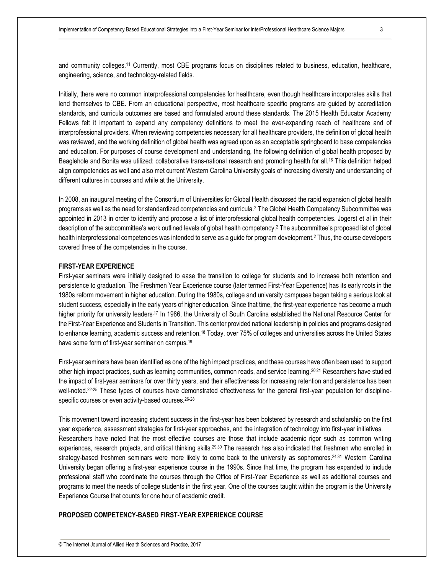and community colleges.<sup>11</sup> Currently, most CBE programs focus on disciplines related to business, education, healthcare, engineering, science, and technology-related fields.

Initially, there were no common interprofessional competencies for healthcare, even though healthcare incorporates skills that lend themselves to CBE. From an educational perspective, most healthcare specific programs are guided by accreditation standards, and curricula outcomes are based and formulated around these standards. The 2015 Health Educator Academy Fellows felt it important to expand any competency definitions to meet the ever-expanding reach of healthcare and of interprofessional providers. When reviewing competencies necessary for all healthcare providers, the definition of global health was reviewed, and the working definition of global health was agreed upon as an acceptable springboard to base competencies and education. For purposes of course development and understanding, the following definition of global health proposed by Beaglehole and Bonita was utilized: collaborative trans-national research and promoting health for all.<sup>16</sup> This definition helped align competencies as well and also met current Western Carolina University goals of increasing diversity and understanding of different cultures in courses and while at the University.

In 2008, an inaugural meeting of the Consortium of Universities for Global Health discussed the rapid expansion of global health programs as well as the need for standardized competencies and curricula.<sup>2</sup> The Global Health Competency Subcommittee was appointed in 2013 in order to identify and propose a list of interprofessional global health competencies. Jogerst et al in their description of the subcommittee's work outlined levels of global health competency.<sup>2</sup> The subcommittee's proposed list of global health interprofessional competencies was intended to serve as a guide for program development.<sup>2</sup> Thus, the course developers covered three of the competencies in the course.

#### **FIRST-YEAR EXPERIENCE**

First-year seminars were initially designed to ease the transition to college for students and to increase both retention and persistence to graduation. The Freshmen Year Experience course (later termed First-Year Experience) has its early roots in the 1980s reform movement in higher education. During the 1980s, college and university campuses began taking a serious look at student success, especially in the early years of higher education. Since that time, the first-year experience has become a much higher priority for university leaders<sup>17</sup> In 1986, the University of South Carolina established the National Resource Center for the First-Year Experience and Students in Transition. This center provided national leadership in policies and programs designed to enhance learning, academic success and retention.<sup>18</sup> Today, over 75% of colleges and universities across the United States have some form of first-year seminar on campus.<sup>19</sup>

First-year seminars have been identified as one of the high impact practices, and these courses have often been used to support other high impact practices, such as learning communities, common reads, and service learning.20,21 Researchers have studied the impact of first-year seminars for over thirty years, and their effectiveness for increasing retention and persistence has been well-noted.22-25 These types of courses have demonstrated effectiveness for the general first-year population for disciplinespecific courses or even activity-based courses.26-28

This movement toward increasing student success in the first-year has been bolstered by research and scholarship on the first year experience, assessment strategies for first-year approaches, and the integration of technology into first-year initiatives. Researchers have noted that the most effective courses are those that include academic rigor such as common writing experiences, research projects, and critical thinking skills.29,30 The research has also indicated that freshmen who enrolled in strategy-based freshmen seminars were more likely to come back to the university as sophomores.<sup>24,31</sup> Western Carolina University began offering a first-year experience course in the 1990s. Since that time, the program has expanded to include professional staff who coordinate the courses through the Office of First-Year Experience as well as additional courses and programs to meet the needs of college students in the first year. One of the courses taught within the program is the University Experience Course that counts for one hour of academic credit.

#### **PROPOSED COMPETENCY-BASED FIRST-YEAR EXPERIENCE COURSE**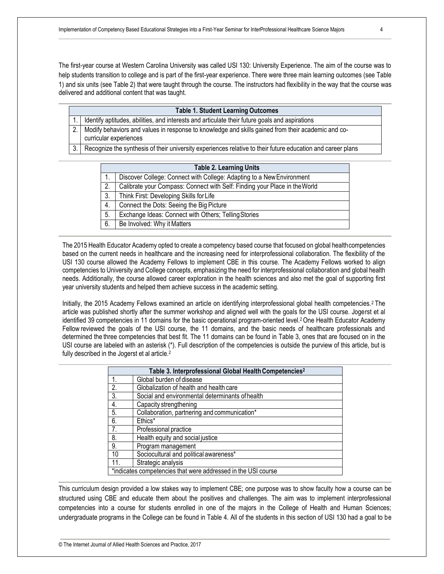The first-year course at Western Carolina University was called USI 130: University Experience. The aim of the course was to help students transition to college and is part of the first-year experience. There were three main learning outcomes (see Table 1) and six units (see Table 2) that were taught through the course. The instructors had flexibility in the way that the course was delivered and additional content that was taught.

| <b>Table 1. Student Learning Outcomes</b> |                                                                                                                                   |  |  |
|-------------------------------------------|-----------------------------------------------------------------------------------------------------------------------------------|--|--|
|                                           | 1.   Identify aptitudes, abilities, and interests and articulate their future goals and aspirations                               |  |  |
|                                           | 2.   Modify behaviors and values in response to knowledge and skills gained from their academic and co-<br>curricular experiences |  |  |
|                                           | Recognize the synthesis of their university experiences relative to their future education and career plans                       |  |  |
|                                           |                                                                                                                                   |  |  |

| <b>Table 2. Learning Units</b> |                                                                            |  |  |  |
|--------------------------------|----------------------------------------------------------------------------|--|--|--|
|                                | Discover College: Connect with College: Adapting to a New Environment      |  |  |  |
| 2.                             | Calibrate your Compass: Connect with Self: Finding your Place in the World |  |  |  |
| 3.                             | Think First: Developing Skills for Life                                    |  |  |  |
| 4.                             | Connect the Dots: Seeing the Big Picture                                   |  |  |  |
| 5.                             | Exchange Ideas: Connect with Others; Telling Stories                       |  |  |  |
| 6.                             | Be Involved: Why it Matters                                                |  |  |  |

The 2015 Health Educator Academy opted to create a competency based course that focused on global healthcompetencies based on the current needs in healthcare and the increasing need for interprofessional collaboration. The flexibility of the USI 130 course allowed the Academy Fellows to implement CBE in this course. The Academy Fellows worked to align competencies to University and College concepts, emphasizing the need for interprofessional collaboration and global health needs. Additionally, the course allowed career exploration in the health sciences and also met the goal of supporting first year university students and helped them achieve success in the academic setting.

Initially, the 2015 Academy Fellows examined an article on identifying interprofessional global health competencies.2 The article was published shortly after the summer workshop and aligned well with the goals for the USI course. Jogerst et al identified 39 competencies in 11 domains for the basic operational program-oriented level.2 One Health Educator Academy Fellow reviewed the goals of the USI course, the 11 domains, and the basic needs of healthcare professionals and determined the three competencies that best fit. The 11 domains can be found in Table 3, ones that are focused on in the USI course are labeled with an asterisk (\*). Full description of the competencies is outside the purview of this article, but is fully described in the Jogerst et al article.<sup>2</sup>

| Table 3. Interprofessional Global Health Competencies <sup>2</sup> |                                                 |  |  |  |
|--------------------------------------------------------------------|-------------------------------------------------|--|--|--|
| 1.                                                                 | Global burden of disease                        |  |  |  |
| $\overline{2}$ .                                                   | Globalization of health and health care         |  |  |  |
| $\overline{3}$ .                                                   | Social and environmental determinants of health |  |  |  |
| 4.                                                                 | Capacity strengthening                          |  |  |  |
| 5.                                                                 | Collaboration, partnering and communication*    |  |  |  |
| 6.                                                                 | Ethics*                                         |  |  |  |
| 7.                                                                 | Professional practice                           |  |  |  |
| 8.                                                                 | Health equity and social justice                |  |  |  |
| 9.                                                                 | Program management                              |  |  |  |
| 10                                                                 | Sociocultural and political awareness*          |  |  |  |
|                                                                    | Strategic analysis                              |  |  |  |
| *indicates competencies that were addressed in the USI course      |                                                 |  |  |  |

This curriculum design provided a low stakes way to implement CBE; one purpose was to show faculty how a course can be structured using CBE and educate them about the positives and challenges. The aim was to implement interprofessional competencies into a course for students enrolled in one of the majors in the College of Health and Human Sciences; undergraduate programs in the College can be found in Table 4. All of the students in this section of USI 130 had a goal to be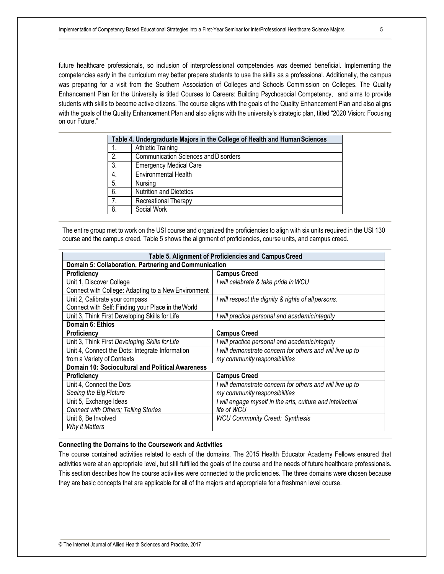future healthcare professionals, so inclusion of interprofessional competencies was deemed beneficial. Implementing the competencies early in the curriculum may better prepare students to use the skills as a professional. Additionally, the campus was preparing for a visit from the Southern Association of Colleges and Schools Commission on Colleges. The Quality Enhancement Plan for the University is titled Courses to Careers: Building Psychosocial Competency, and aims to provide students with skills to become active citizens. The course aligns with the goals of the Quality Enhancement Plan and also aligns with the goals of the Quality Enhancement Plan and also aligns with the university's strategic plan, titled "2020 Vision: Focusing on our Future."

| Table 4. Undergraduate Majors in the College of Health and Human Sciences |                                             |  |  |  |
|---------------------------------------------------------------------------|---------------------------------------------|--|--|--|
|                                                                           | <b>Athletic Training</b>                    |  |  |  |
| 2.                                                                        | <b>Communication Sciences and Disorders</b> |  |  |  |
| 3.                                                                        | <b>Emergency Medical Care</b>               |  |  |  |
| 4.                                                                        | Environmental Health                        |  |  |  |
| 5.                                                                        | Nursing                                     |  |  |  |
| 6.                                                                        | <b>Nutrition and Dietetics</b>              |  |  |  |
| $\overline{7}$ .                                                          | Recreational Therapy                        |  |  |  |
| 8.                                                                        | Social Work                                 |  |  |  |

The entire group met to work on the USI course and organized the proficiencies to align with six units required in the USI 130 course and the campus creed. Table 5 shows the alignment of proficiencies, course units, and campus creed.

| Table 5. Alignment of Proficiencies and Campus Creed  |                                                            |  |  |  |
|-------------------------------------------------------|------------------------------------------------------------|--|--|--|
| Domain 5: Collaboration, Partnering and Communication |                                                            |  |  |  |
| <b>Proficiency</b>                                    | <b>Campus Creed</b>                                        |  |  |  |
| Unit 1, Discover College                              | I will celebrate & take pride in WCU                       |  |  |  |
| Connect with College: Adapting to a New Environment   |                                                            |  |  |  |
| Unit 2, Calibrate your compass                        | I will respect the dignity & rights of all persons.        |  |  |  |
| Connect with Self: Finding your Place in the World    |                                                            |  |  |  |
| Unit 3, Think First Developing Skills for Life        | I will practice personal and academic integrity            |  |  |  |
| Domain 6: Ethics                                      |                                                            |  |  |  |
| <b>Proficiency</b>                                    | <b>Campus Creed</b>                                        |  |  |  |
| Unit 3, Think First Developing Skills for Life        | I will practice personal and academic integrity            |  |  |  |
| Unit 4, Connect the Dots: Integrate Information       | I will demonstrate concern for others and will live up to  |  |  |  |
| from a Variety of Contexts                            | my community responsibilities                              |  |  |  |
| Domain 10: Sociocultural and Political Awareness      |                                                            |  |  |  |
| <b>Proficiency</b>                                    | <b>Campus Creed</b>                                        |  |  |  |
| Unit 4, Connect the Dots                              | I will demonstrate concern for others and will live up to  |  |  |  |
| Seeing the Big Picture                                | my community responsibilities                              |  |  |  |
| Unit 5, Exchange Ideas                                | I will engage myself in the arts, culture and intellectual |  |  |  |
| <b>Connect with Others; Telling Stories</b>           | life of WCU                                                |  |  |  |
| Unit 6, Be Involved                                   | <b>WCU Community Creed: Synthesis</b>                      |  |  |  |
| Why it Matters                                        |                                                            |  |  |  |

#### **Connecting the Domains to the Coursework and Activities**

The course contained activities related to each of the domains. The 2015 Health Educator Academy Fellows ensured that activities were at an appropriate level, but still fulfilled the goals of the course and the needs of future healthcare professionals. This section describes how the course activities were connected to the proficiencies. The three domains were chosen because they are basic concepts that are applicable for all of the majors and appropriate for a freshman level course.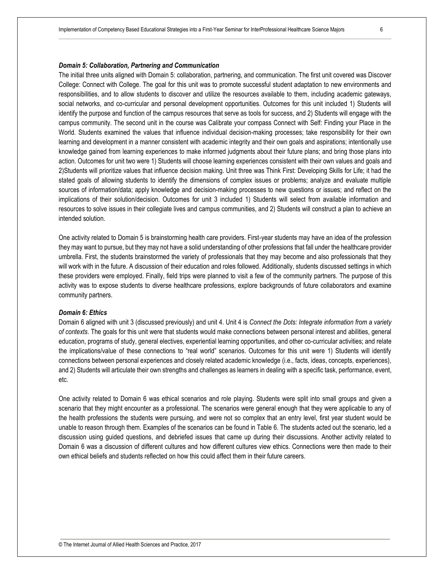#### *Domain 5: Collaboration, Partnering and Communication*

The initial three units aligned with Domain 5: collaboration, partnering, and communication. The first unit covered was Discover College: Connect with College. The goal for this unit was to promote successful student adaptation to new environments and responsibilities, and to allow students to discover and utilize the resources available to them, including academic gateways, social networks, and co-curricular and personal development opportunities. Outcomes for this unit included 1) Students will identify the purpose and function of the campus resources that serve as tools for success, and 2) Students will engage with the campus community. The second unit in the course was Calibrate your compass Connect with Self: Finding your Place in the World. Students examined the values that influence individual decision-making processes; take responsibility for their own learning and development in a manner consistent with academic integrity and their own goals and aspirations; intentionally use knowledge gained from learning experiences to make informed judgments about their future plans; and bring those plans into action. Outcomes for unit two were 1) Students will choose learning experiences consistent with their own values and goals and 2)Students will prioritize values that influence decision making. Unit three was Think First: Developing Skills for Life; it had the stated goals of allowing students to identify the dimensions of complex issues or problems; analyze and evaluate multiple sources of information/data; apply knowledge and decision-making processes to new questions or issues; and reflect on the implications of their solution/decision. Outcomes for unit 3 included 1) Students will select from available information and resources to solve issues in their collegiate lives and campus communities, and 2) Students will construct a plan to achieve an intended solution.

One activity related to Domain 5 is brainstorming health care providers. First-year students may have an idea of the profession they may want to pursue, but they may not have a solid understanding of other professions that fall under the healthcare provider umbrella. First, the students brainstormed the variety of professionals that they may become and also professionals that they will work with in the future. A discussion of their education and roles followed. Additionally, students discussed settings in which these providers were employed. Finally, field trips were planned to visit a few of the community partners. The purpose of this activity was to expose students to diverse healthcare professions, explore backgrounds of future collaborators and examine community partners.

#### *Domain 6: Ethics*

Domain 6 aligned with unit 3 (discussed previously) and unit 4. Unit 4 is *Connect the Dots: Integrate information from a variety of contexts*. The goals for this unit were that students would make connections between personal interest and abilities, general education, programs of study, general electives, experiential learning opportunities, and other co-curricular activities; and relate the implications/value of these connections to "real world" scenarios. Outcomes for this unit were 1) Students will identify connections between personal experiences and closely related academic knowledge (i.e., facts, ideas, concepts, experiences), and 2) Students will articulate their own strengths and challenges as learners in dealing with a specific task, performance, event, etc.

One activity related to Domain 6 was ethical scenarios and role playing. Students were split into small groups and given a scenario that they might encounter as a professional. The scenarios were general enough that they were applicable to any of the health professions the students were pursuing, and were not so complex that an entry level, first year student would be unable to reason through them. Examples of the scenarios can be found in Table 6. The students acted out the scenario, led a discussion using guided questions, and debriefed issues that came up during their discussions. Another activity related to Domain 6 was a discussion of different cultures and how different cultures view ethics. Connections were then made to their own ethical beliefs and students reflected on how this could affect them in their future careers.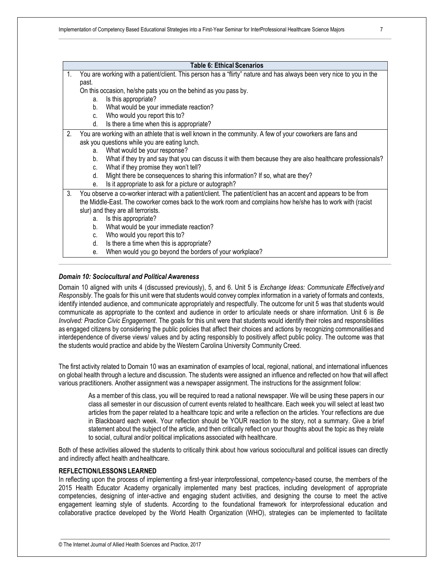#### **Table 6: Ethical Scenarios**

1. You are working with a patient/client. This person has a "flirty" nature and has always been very nice to you in the past.

On this occasion, he/she pats you on the behind as you pass by.

- a. Is this appropriate?
- b. What would be your immediate reaction?
- c. Who would you report this to?
- d. Is there a time when this is appropriate?
- 2. You are working with an athlete that is well known in the community. A few of your coworkers are fans and ask you questions while you are eating lunch.
	- a. What would be your response?
	- b. What if they try and say that you can discuss it with them because they are also healthcare professionals?
	- c. What if they promise they won't tell?
	- d. Might there be consequences to sharing this information? If so, what are they?
	- e. Is it appropriate to ask for a picture or autograph?
- 3. You observe a co-worker interact with a patient/client. The patient/client has an accent and appears to be from the Middle-East. The coworker comes back to the work room and complains how he/she has to work with (racist slur) and they are all terrorists.
	- a. Is this appropriate?
	- b. What would be your immediate reaction?
	- c. Who would you report this to?
	- d. Is there a time when this is appropriate?
	- e. When would you go beyond the borders of your workplace?

#### *Domain 10: Sociocultural and Political Awareness*

Domain 10 aligned with units 4 (discussed previously), 5, and 6. Unit 5 is *Exchange Ideas: Communicate Effectively and Responsibly*. The goals for this unit were that students would convey complex information in a variety of formats and contexts, identify intended audience, and communicate appropriately and respectfully. The outcome for unit 5 was that students would communicate as appropriate to the context and audience in order to articulate needs or share information. Unit 6 is *Be Involved: Practice Civic Engagement*. The goals for this unit were that students would identify their roles and responsibilities as engaged citizens by considering the public policies that affect their choices and actions by recognizing commonalitiesand interdependence of diverse views/ values and by acting responsibly to positively affect public policy. The outcome was that the students would practice and abide by the Western Carolina University Community Creed.

The first activity related to Domain 10 was an examination of examples of local, regional, national, and international influences on global health through a lecture and discussion. The students were assigned an influence and reflected on how that will affect various practitioners. Another assignment was a newspaper assignment. The instructions for the assignment follow:

As a member of this class, you will be required to read a national newspaper. We will be using these papers in our class all semester in our discussion of current events related to healthcare. Each week you will select at least two articles from the paper related to a healthcare topic and write a reflection on the articles. Your reflections are due in Blackboard each week. Your reflection should be YOUR reaction to the story, not a summary. Give a brief statement about the subject of the article, and then critically reflect on your thoughts about the topic as they relate to social, cultural and/or political implications associated with healthcare.

Both of these activities allowed the students to critically think about how various sociocultural and political issues can directly and indirectly affect health and healthcare.

#### **REFLECTION/LESSONS LEARNED**

In reflecting upon the process of implementing a first-year interprofessional, competency-based course, the members of the 2015 Health Educator Academy organically implemented many best practices, including development of appropriate competencies, designing of inter-active and engaging student activities, and designing the course to meet the active engagement learning style of students. According to the foundational framework for interprofessional education and collaborative practice developed by the World Health Organization (WHO), strategies can be implemented to facilitate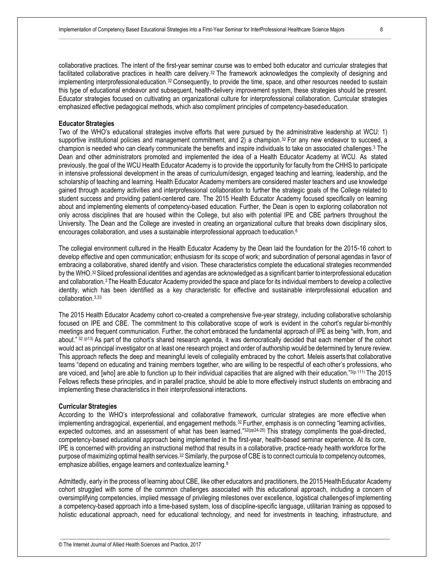collaborative practices. The intent of the first-year seminar course was to embed both educator and curricular strategies that facilitated collaborative practices in health care delivery.32 The framework acknowledges the complexity of designing and implementing interprofessionaleducation.<sup>32</sup> Consequently, to provide the time, space, and other resources needed to sustain this type of educational endeavor and subsequent, health-delivery improvement system, these strategies should be present. Educator strategies focused on cultivating an organizational culture for interprofessional collaboration. Curricular strategies emphasized effective pedagogical methods, which also compliment principles of competency-basededucation.

#### **Educator Strategies**

Two of the WHO's educational strategies involve efforts that were pursued by the administrative leadership at WCU: 1) supportive institutional policies and management commitment, and 2) a champion.<sup>32</sup> For any new endeavor to succeed, a champion is needed who can clearly communicate the benefits and inspire individuals to take on associated challenges.<sup>3</sup> The Dean and other administrators promoted and implemented the idea of a Health Educator Academy at WCU. As stated previously, the goal of the WCU Health Educator Academy is to provide the opportunity for faculty from the CHHS to participate in intensive professional development in the areas of curriculum/design, engaged teaching and learning, leadership, and the scholarship of teaching and learning. Health Educator Academy members are considered master teachers and use knowledge gained through academy activities and interprofessional collaboration to further the strategic goals of the College related to student success and providing patient-centered care. The 2015 Health Educator Academy focused specifically on learning about and implementing elements of competency-based education. Further, the Dean is open to exploring collaboration not only across disciplines that are housed within the College, but also with potential IPE and CBE partners throughout the University. The Dean and the College are invested in creating an organizational culture that breaks down disciplinary silos, encourages collaboration, and uses a sustainable interprofessional approach toeducation.<sup>6</sup>

The collegial environment cultured in the Health Educator Academy by the Dean laid the foundation for the 2015-16 cohort to develop effective and open communication; enthusiasm for its scope of work; and subordination of personal agendas in favor of embracing a collaborative, shared identify and vision. These characteristics complete the educational strategies recommended by the WHO.32Siloed professional identities and agendas are acknowledged as a significant barrier tointerprofessional education and collaboration.3 The Health Educator Academy provided the space and place for its individual members to develop a collective identity, which has been identified as a key characteristic for effective and sustainable interprofessional education and collaboration.3,33

The 2015 Health Educator Academy cohort co-created a comprehensive five-year strategy, including collaborative scholarship focused on IPE and CBE. The commitment to this collaborative scope of work is evident in the cohort's regular bi-monthly meetings and frequent communication. Further, the cohort embraced the fundamental approach of IPE as being "with, from, and about." <sup>32</sup> (p13) As part of the cohort's shared research agenda, it was democratically decided that each member of the cohort would act as principal investigator on at least one research project and order of authorship would be determined by tenure review. This approach reflects the deep and meaningful levels of collegiality embraced by the cohort. Meleis asserts that collaborative teams "depend on educating and training members together, who are willing to be respectful of each other's professions, who are voiced, and [who] are able to function up to their individual capacities that are aligned with their education."3(p.111) The 2015 Fellows reflects these principles, and in parallel practice, should be able to more effectively instruct students on embracing and implementing these characteristics in their interprofessional interactions.

#### **Curricular Strategies**

According to the WHO's interprofessional and collaborative framework, curricular strategies are more effective when implementing andragogical, experiential, and engagement methods.<sup>32</sup> Further, emphasis is on connecting "learning activities, expected outcomes, and an assessment of what has been learned."<sup>32(pp24-25)</sup> This strategy compliments the goal-directed, competency-based educational approach being implemented in the first-year, health-based seminar experience. At its core, IPE is concerned with providing an instructional method that results in a collaborative, practice-ready health workforce forthe purpose of maximizing optimal health services.<sup>32</sup> Similarly, the purpose of CBE is to connect curricula to competency outcomes, emphasize abilities, engage learners and contextualize learning.<sup>8</sup>

Admittedly, early in the process of learning about CBE, like other educators and practitioners, the 2015 Health Educator Academy cohort struggled with some of the common challenges associated with this educational approach, including a concern of oversimplifying competencies, implied message of privileging milestones over excellence, logistical challengesof implementing a competency-based approach into a time-based system, loss of discipline-specific language, utilitarian training as opposed to holistic educational approach, need for educational technology, and need for investments in teaching, infrastructure, and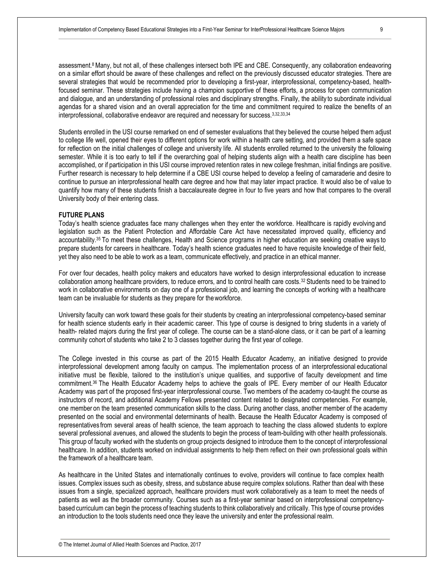assessment.<sup>8</sup> Many, but not all, of these challenges intersect both IPE and CBE. Consequently, any collaboration endeavoring on a similar effort should be aware of these challenges and reflect on the previously discussed educator strategies. There are several strategies that would be recommended prior to developing a first-year, interprofessional, competency-based, healthfocused seminar. These strategies include having a champion supportive of these efforts, a process for open communication and dialogue, and an understanding of professional roles and disciplinary strengths. Finally, the ability to subordinate individual agendas for a shared vision and an overall appreciation for the time and commitment required to realize the benefits of an interprofessional, collaborative endeavor are required and necessary for success.3,32,33,34

Students enrolled in the USI course remarked on end of semester evaluations that they believed the course helped them adjust to college life well, opened their eyes to different options for work within a health care setting, and provided them a safe space for reflection on the initial challenges of college and university life. All students enrolled returned to the university the following semester. While it is too early to tell if the overarching goal of helping students align with a health care discipline has been accomplished, or if participation in this USI course improved retention rates in new college freshman, initial findings are positive. Further research is necessary to help determine if a CBE USI course helped to develop a feeling of camaraderie and desire to continue to pursue an interprofessional health care degree and how that may later impact practice. It would also be of value to quantify how many of these students finish a baccalaureate degree in four to five years and how that compares to the overall University body of their entering class.

#### **FUTURE PLANS**

Today's health science graduates face many challenges when they enter the workforce. Healthcare is rapidly evolving and legislation such as the Patient Protection and Affordable Care Act have necessitated improved quality, efficiency and accountability.35 To meet these challenges, Health and Science programs in higher education are seeking creative ways to prepare students for careers in healthcare. Today's health science graduates need to have requisite knowledge of their field, yet they also need to be able to work as a team, communicate effectively, and practice in an ethical manner.

For over four decades, health policy makers and educators have worked to design interprofessional education to increase collaboration among healthcare providers, to reduce errors, and to control health care costs.32 Students need to be trained to work in collaborative environments on day one of a professional job, and learning the concepts of working with a healthcare team can be invaluable for students as they prepare for theworkforce.

University faculty can work toward these goals for their students by creating an interprofessional competency-based seminar for health science students early in their academic career. This type of course is designed to bring students in a variety of health- related majors during the first year of college. The course can be a stand-alone class, or it can be part of a learning community cohort of students who take 2 to 3 classes together during the first year of college.

The College invested in this course as part of the 2015 Health Educator Academy, an initiative designed to provide interprofessional development among faculty on campus. The implementation process of an interprofessional educational initiative must be flexible, tailored to the institution's unique qualities, and supportive of faculty development and time commitment.36 The Health Educator Academy helps to achieve the goals of IPE. Every member of our Health Educator Academy was part of the proposed first-year interprofessional course. Two members of the academy co-taught the course as instructors of record, and additional Academy Fellows presented content related to designated competencies. For example, one member on the team presented communication skills to the class. During another class, another member of the academy presented on the social and environmental determinants of health. Because the Health Educator Academy is composed of representatives from several areas of health science, the team approach to teaching the class allowed students to explore several professional avenues, and allowed the students to begin the process of team-building with other health professionals. This group of faculty worked with the students on group projects designed to introduce them to the concept of interprofessional healthcare. In addition, students worked on individual assignments to help them reflect on their own professional goals within the framework of a healthcare team.

As healthcare in the United States and internationally continues to evolve, providers will continue to face complex health issues. Complex issues such as obesity, stress, and substance abuse require complex solutions. Rather than deal with these issues from a single, specialized approach, healthcare providers must work collaboratively as a team to meet the needs of patients as well as the broader community. Courses such as a first-year seminar based on interprofessional competencybased curriculum can begin the process of teaching students to think collaboratively and critically. This type of course provides an introduction to the tools students need once they leave the university and enter the professional realm.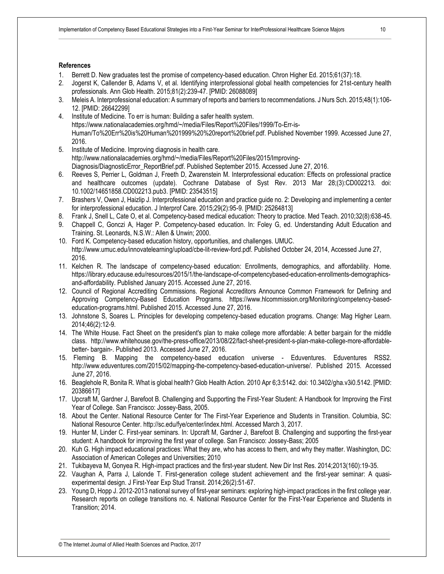#### **References**

- 1. Berrett D. New graduates test the promise of competency-based education. Chron Higher Ed. 2015;61(37):18.
- 2. Jogerst K, Callender B, Adams V, et al. Identifying interprofessional global health competencies for 21st-century health professionals. Ann Glob Health. 2015;81(2):239-47. [PMID: 26088089]
- 3. Meleis A. Interprofessional education: A summary of reports and barriers to recommendations. J Nurs Sch. 2015;48(1):106- 12. [PMID: 26642299]
- 4. Institute of Medicine. To err is human: Building a safer health system. https://www.nationalacademies.org/hmd/~/media/Files/Report%20Files/1999/To-Err-is-Human/To%20Err%20is%20Human%201999%20%20report%20brief.pdf. Published November 1999. Accessed June 27, 2016.
- 5. Institute of Medicine. Improving diagnosis in health care. http://www.nationalacademies.org/hmd/~/media/Files/Report%20Files/2015/Improving-Diagnosis/DiagnosticError\_ReportBrief.pdf. Published September 2015. Accessed June 27, 2016.
- 6. Reeves S, Perrier L, Goldman J, Freeth D, Zwarenstein M. Interprofessional education: Effects on professional practice and healthcare outcomes (update). Cochrane Database of Syst Rev. 2013 Mar 28;(3):CD002213. doi: 10.1002/14651858.CD002213.pub3. [PMID: 23543515]
- 7. Brashers V, Owen J, Haizlip J. Interprofessional education and practice guide no. 2: Developing and implementing a center for interprofessional education. J Interprof Care. 2015;29(2):95-9. [PMID: 25264813]
- 8. Frank J, Snell L, Cate O, et al. Competency-based medical education: Theory to practice. Med Teach. 2010;32(8):638-45.
- 9. Chappell C, Gonczi A, Hager P. Competency-based education. In: Foley G, ed. Understanding Adult Education and Training. St. Leonards, N.S.W.: Allen & Unwin; 2000.
- 10. Ford K. Competency-based education history, opportunities, and challenges. UMUC. http://www.umuc.edu/innovatelearning/upload/cbe-lit-review-ford.pdf. Published October 24, 2014, Accessed June 27, 2016.
- 11. Kelchen R. The landscape of competency-based education: Enrollments, demographics, and affordability. Home. https://library.educause.edu/resources/2015/1/the-landscape-of-competencybased-education-enrollments-demographicsand-affordability. Published January 2015. Accessed June 27, 2016.
- 12. Council of Regional Accrediting Commissions. Regional Accreditors Announce Common Framework for Defining and Approving Competency-Based Education Programs. https://www.hlcommission.org/Monitoring/competency-basededucation-programs.html. Published 2015. Accessed June 27, 2016.
- 13. Johnstone S, Soares L. Principles for developing competency-based education programs. Change: Mag Higher Learn. 2014;46(2):12-9.
- 14. The White House. Fact Sheet on the president's plan to make college more affordable: A better bargain for the middle class. http://www.whitehouse.gov/the-press-office/2013/08/22/fact-sheet-president-s-plan-make-college-more-affordablebetter- bargain-. Published 2013. Accessed June 27, 2016.
- 15. Fleming B. Mapping the competency-based education universe Eduventures. Eduventures RSS2. http://www.eduventures.com/2015/02/mapping-the-competency-based-education-universe/. Published 2015. Accessed June 27, 2016.
- 16. Beaglehole R, Bonita R. What is global health? Glob Health Action. 2010 Apr 6;3:5142. doi: 10.3402/gha.v3i0.5142. [PMID: 20386617]
- 17. Upcraft M, Gardner J, Barefoot B. Challenging and Supporting the First-Year Student: A Handbook for Improving the First Year of College. San Francisco: Jossey-Bass, 2005.
- 18. About the Center. National Resource Center for The First-Year Experience and Students in Transition. Columbia, SC: National Resource Center. http://sc.edu/fye/center/index.html. Accessed March 3, 2017.
- 19. Hunter M, Linder C. First-year seminars. In: Upcraft M, Gardner J, Barefoot B. Challenging and supporting the first-year student: A handbook for improving the first year of college. San Francisco: Jossey-Bass; 2005
- 20. Kuh G. High impact educational practices: What they are, who has access to them, and why they matter. Washington, DC: Association of American Colleges and Universities; 2010
- 21. Tukibayeva M, Gonyea R. High-impact practices and the first-year student. New Dir Inst Res. 2014;2013(160):19-35.
- 22. Vaughan A, Parra J, Lalonde T. First-generation college student achievement and the first-year seminar: A quasiexperimental design. J First-Year Exp Stud Transit. 2014;26(2):51-67.
- 23. Young D, Hopp J. 2012-2013 national survey of first-year seminars: exploring high-impact practices in the first college year. Research reports on college transitions no. 4. National Resource Center for the First-Year Experience and Students in Transition; 2014.